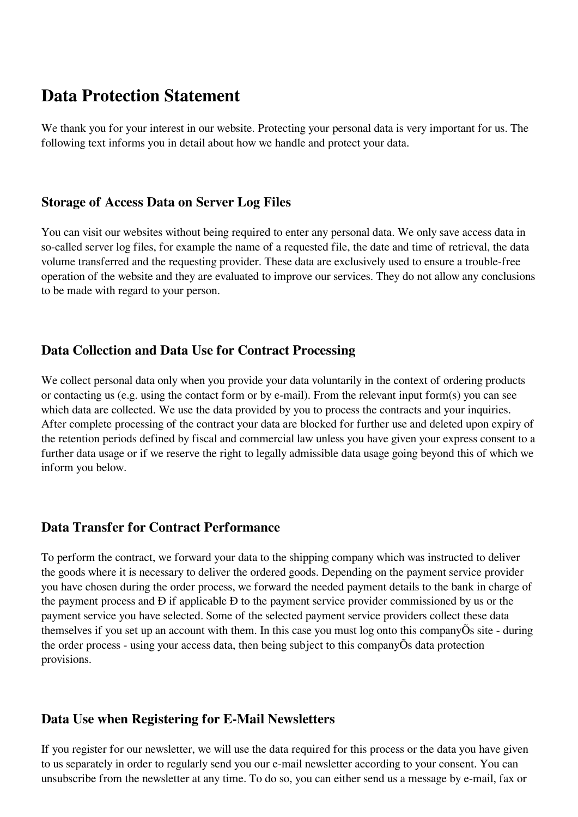# **Data Protection Statement**

We thank you for your interest in our website. Protecting your personal data is very important for us. The following text informs you in detail about how we handle and protect your data.

#### **Storage of Access Data on Server Log Files**

You can visit our websites without being required to enter any personal data. We only save access data in so-called server log files, for example the name of a requested file, the date and time of retrieval, the data volume transferred and the requesting provider. These data are exclusively used to ensure a trouble-free operation of the website and they are evaluated to improve our services. They do not allow any conclusions to be made with regard to your person.

## **Data Collection and Data Use for Contract Processing**

We collect personal data only when you provide your data voluntarily in the context of ordering products or contacting us (e.g. using the contact form or by e-mail). From the relevant input form(s) you can see which data are collected. We use the data provided by you to process the contracts and your inquiries. After complete processing of the contract your data are blocked for further use and deleted upon expiry of the retention periods defined by fiscal and commercial law unless you have given your express consent to a further data usage or if we reserve the right to legally admissible data usage going beyond this of which we inform you below.

# **Data Transfer for Contract Performance**

To perform the contract, we forward your data to the shipping company which was instructed to deliver the goods where it is necessary to deliver the ordered goods. Depending on the payment service provider you have chosen during the order process, we forward the needed payment details to the bank in charge of the payment process and Ð if applicable Ð to the payment service provider commissioned by us or the payment service you have selected. Some of the selected payment service providers collect these data themselves if you set up an account with them. In this case you must log onto this companyÕs site - during the order process - using your access data, then being subject to this companyÕs data protection provisions.

## **Data Use when Registering for E-Mail Newsletters**

If you register for our newsletter, we will use the data required for this process or the data you have given to us separately in order to regularly send you our e-mail newsletter according to your consent. You can unsubscribe from the newsletter at any time. To do so, you can either send us a message by e-mail, fax or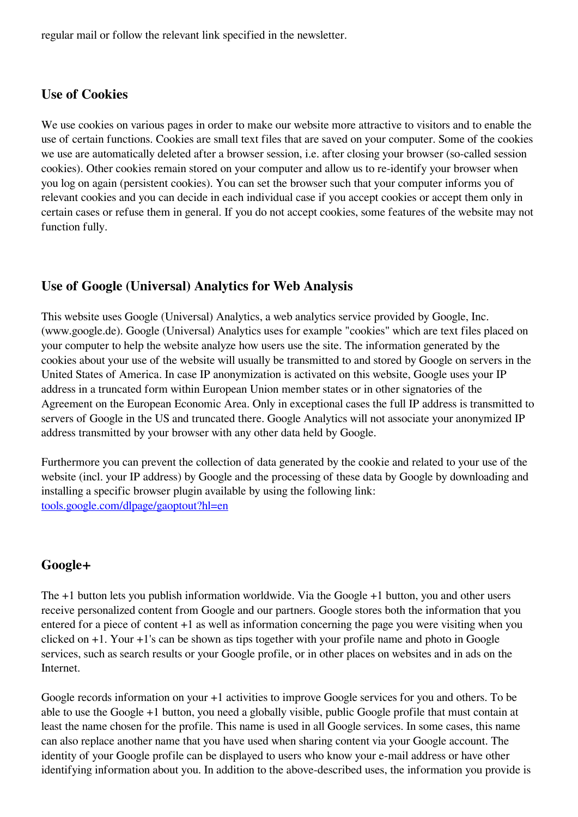regular mail or follow the relevant link specified in the newsletter.

## **Use of Cookies**

We use cookies on various pages in order to make our website more attractive to visitors and to enable the use of certain functions. Cookies are small text files that are saved on your computer. Some of the cookies we use are automatically deleted after a browser session, i.e. after closing your browser (so-called session cookies). Other cookies remain stored on your computer and allow us to re-identify your browser when you log on again (persistent cookies). You can set the browser such that your computer informs you of relevant cookies and you can decide in each individual case if you accept cookies or accept them only in certain cases or refuse them in general. If you do not accept cookies, some features of the website may not function fully.

## **Use of Google (Universal) Analytics for Web Analysis**

This website uses Google (Universal) Analytics, a web analytics service provided by Google, Inc. (www.google.de). Google (Universal) Analytics uses for example "cookies" which are text files placed on your computer to help the website analyze how users use the site. The information generated by the cookies about your use of the website will usually be transmitted to and stored by Google on servers in the United States of America. In case IP anonymization is activated on this website, Google uses your IP address in a truncated form within European Union member states or in other signatories of the Agreement on the European Economic Area. Only in exceptional cases the full IP address is transmitted to servers of Google in the US and truncated there. Google Analytics will not associate your anonymized IP address transmitted by your browser with any other data held by Google.

Furthermore you can prevent the collection of data generated by the cookie and related to your use of the website (incl. your IP address) by Google and the processing of these data by Google by downloading and installing a specific browser plugin available by using the following link: [tools.google.com/dlpage/gaoptout?hl=en](https://tools.google.com/dlpage/gaoptout?hl=de)

## **Google+**

The +1 button lets you publish information worldwide. Via the Google +1 button, you and other users receive personalized content from Google and our partners. Google stores both the information that you entered for a piece of content +1 as well as information concerning the page you were visiting when you clicked on +1. Your +1's can be shown as tips together with your profile name and photo in Google services, such as search results or your Google profile, or in other places on websites and in ads on the Internet.

Google records information on your +1 activities to improve Google services for you and others. To be able to use the Google +1 button, you need a globally visible, public Google profile that must contain at least the name chosen for the profile. This name is used in all Google services. In some cases, this name can also replace another name that you have used when sharing content via your Google account. The identity of your Google profile can be displayed to users who know your e-mail address or have other identifying information about you. In addition to the above-described uses, the information you provide is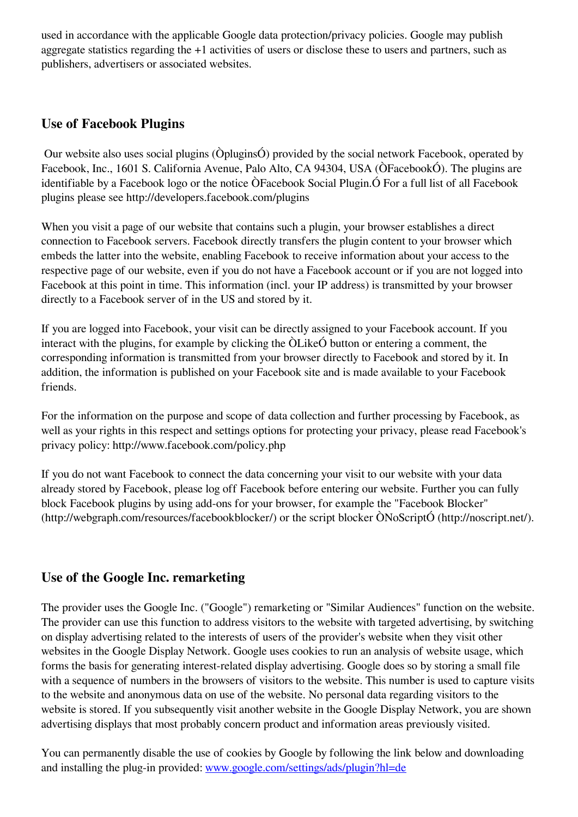used in accordance with the applicable Google data protection/privacy policies. Google may publish aggregate statistics regarding the +1 activities of users or disclose these to users and partners, such as publishers, advertisers or associated websites.

# **Use of Facebook Plugins**

 Our website also uses social plugins (ÒpluginsÓ) provided by the social network Facebook, operated by Facebook, Inc., 1601 S. California Avenue, Palo Alto, CA 94304, USA (ÒFacebookÓ). The plugins are identifiable by a Facebook logo or the notice ÒFacebook Social Plugin.Ó For a full list of all Facebook plugins please see http://developers.facebook.com/plugins

When you visit a page of our website that contains such a plugin, your browser establishes a direct connection to Facebook servers. Facebook directly transfers the plugin content to your browser which embeds the latter into the website, enabling Facebook to receive information about your access to the respective page of our website, even if you do not have a Facebook account or if you are not logged into Facebook at this point in time. This information (incl. your IP address) is transmitted by your browser directly to a Facebook server of in the US and stored by it.

If you are logged into Facebook, your visit can be directly assigned to your Facebook account. If you interact with the plugins, for example by clicking the ÒLikeÓ button or entering a comment, the corresponding information is transmitted from your browser directly to Facebook and stored by it. In addition, the information is published on your Facebook site and is made available to your Facebook friends.

For the information on the purpose and scope of data collection and further processing by Facebook, as well as your rights in this respect and settings options for protecting your privacy, please read Facebook's privacy policy: http://www.facebook.com/policy.php

If you do not want Facebook to connect the data concerning your visit to our website with your data already stored by Facebook, please log off Facebook before entering our website. Further you can fully block Facebook plugins by using add-ons for your browser, for example the "Facebook Blocker" (http://webgraph.com/resources/facebookblocker/) or the script blocker ÒNoScriptÓ (http://noscript.net/).

# **Use of the Google Inc. remarketing**

The provider uses the Google Inc. ("Google") remarketing or "Similar Audiences" function on the website. The provider can use this function to address visitors to the website with targeted advertising, by switching on display advertising related to the interests of users of the provider's website when they visit other websites in the Google Display Network. Google uses cookies to run an analysis of website usage, which forms the basis for generating interest-related display advertising. Google does so by storing a small file with a sequence of numbers in the browsers of visitors to the website. This number is used to capture visits to the website and anonymous data on use of the website. No personal data regarding visitors to the website is stored. If you subsequently visit another website in the Google Display Network, you are shown advertising displays that most probably concern product and information areas previously visited.

You can permanently disable the use of cookies by Google by following the link below and downloading and installing the plug-in provided: [www.google.com/settings/ads/plugin?hl=de](https://www.google.com/settings/ads/plugin?hl=en)